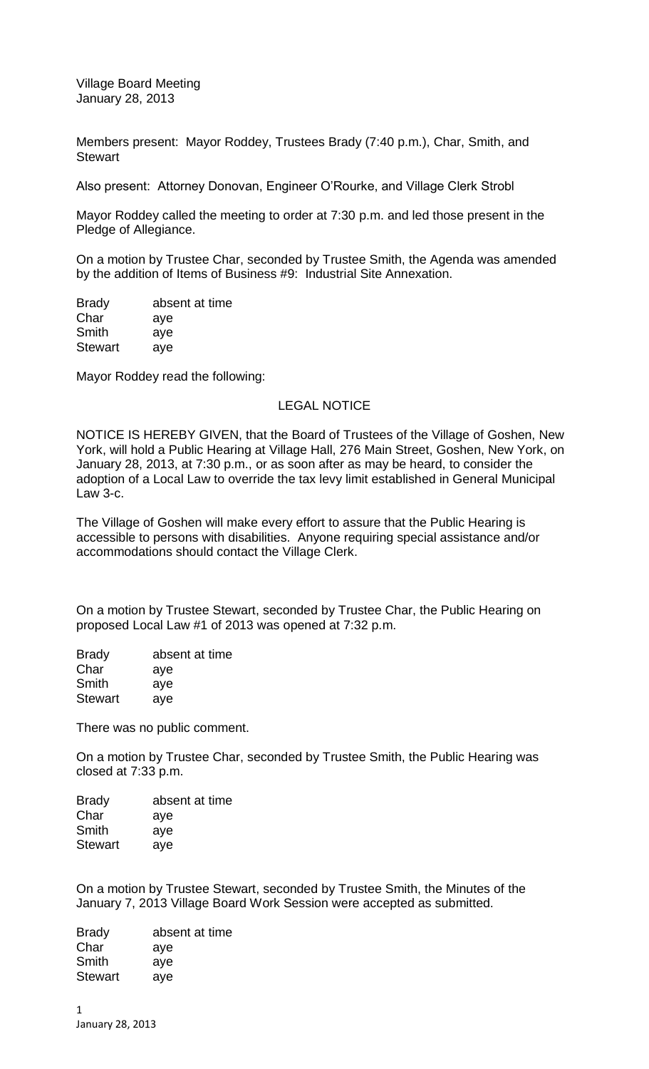Village Board Meeting January 28, 2013

Members present: Mayor Roddey, Trustees Brady (7:40 p.m.), Char, Smith, and **Stewart** 

Also present: Attorney Donovan, Engineer O'Rourke, and Village Clerk Strobl

Mayor Roddey called the meeting to order at 7:30 p.m. and led those present in the Pledge of Allegiance.

On a motion by Trustee Char, seconded by Trustee Smith, the Agenda was amended by the addition of Items of Business #9: Industrial Site Annexation.

Brady absent at time Char aye Smith aye Stewart aye

Mayor Roddey read the following:

## LEGAL NOTICE

NOTICE IS HEREBY GIVEN, that the Board of Trustees of the Village of Goshen, New York, will hold a Public Hearing at Village Hall, 276 Main Street, Goshen, New York, on January 28, 2013, at 7:30 p.m., or as soon after as may be heard, to consider the adoption of a Local Law to override the tax levy limit established in General Municipal Law 3-c.

The Village of Goshen will make every effort to assure that the Public Hearing is accessible to persons with disabilities. Anyone requiring special assistance and/or accommodations should contact the Village Clerk.

On a motion by Trustee Stewart, seconded by Trustee Char, the Public Hearing on proposed Local Law #1 of 2013 was opened at 7:32 p.m.

| absent at time |
|----------------|
| aye            |
| aye            |
| aye            |
|                |

There was no public comment.

On a motion by Trustee Char, seconded by Trustee Smith, the Public Hearing was closed at 7:33 p.m.

| absent at time |
|----------------|
| aye            |
| aye            |
| aye            |
|                |

On a motion by Trustee Stewart, seconded by Trustee Smith, the Minutes of the January 7, 2013 Village Board Work Session were accepted as submitted.

Brady absent at time Char aye Smith aye Stewart ave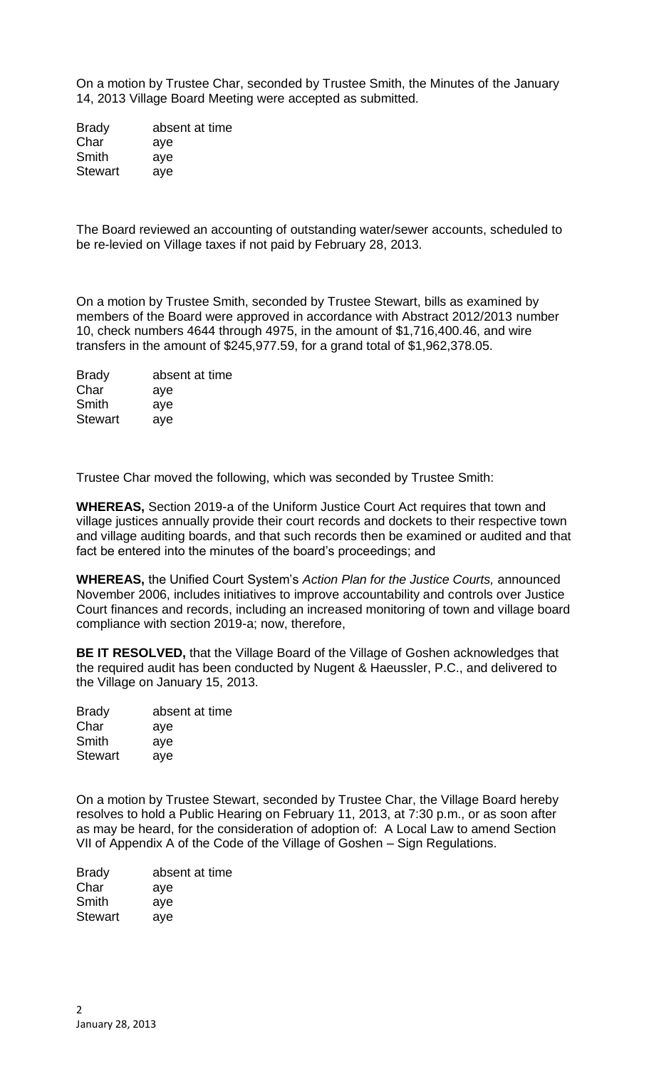On a motion by Trustee Char, seconded by Trustee Smith, the Minutes of the January 14, 2013 Village Board Meeting were accepted as submitted.

Brady absent at time Char aye Smith aye Stewart aye

The Board reviewed an accounting of outstanding water/sewer accounts, scheduled to be re-levied on Village taxes if not paid by February 28, 2013.

On a motion by Trustee Smith, seconded by Trustee Stewart, bills as examined by members of the Board were approved in accordance with Abstract 2012/2013 number 10, check numbers 4644 through 4975, in the amount of \$1,716,400.46, and wire transfers in the amount of \$245,977.59, for a grand total of \$1,962,378.05.

| <b>Brady</b>   | absent at time |
|----------------|----------------|
| Char           | aye            |
| Smith          | aye            |
| <b>Stewart</b> | aye            |

Trustee Char moved the following, which was seconded by Trustee Smith:

**WHEREAS,** Section 2019-a of the Uniform Justice Court Act requires that town and village justices annually provide their court records and dockets to their respective town and village auditing boards, and that such records then be examined or audited and that fact be entered into the minutes of the board's proceedings; and

**WHEREAS,** the Unified Court System's *Action Plan for the Justice Courts,* announced November 2006, includes initiatives to improve accountability and controls over Justice Court finances and records, including an increased monitoring of town and village board compliance with section 2019-a; now, therefore,

**BE IT RESOLVED,** that the Village Board of the Village of Goshen acknowledges that the required audit has been conducted by Nugent & Haeussler, P.C., and delivered to the Village on January 15, 2013.

| absent at time |
|----------------|
| aye            |
| aye            |
| aye            |
|                |

On a motion by Trustee Stewart, seconded by Trustee Char, the Village Board hereby resolves to hold a Public Hearing on February 11, 2013, at 7:30 p.m., or as soon after as may be heard, for the consideration of adoption of: A Local Law to amend Section VII of Appendix A of the Code of the Village of Goshen – Sign Regulations.

| <b>Brady</b>   | absent at time |
|----------------|----------------|
| Char           | aye            |
| Smith          | aye            |
| <b>Stewart</b> | aye            |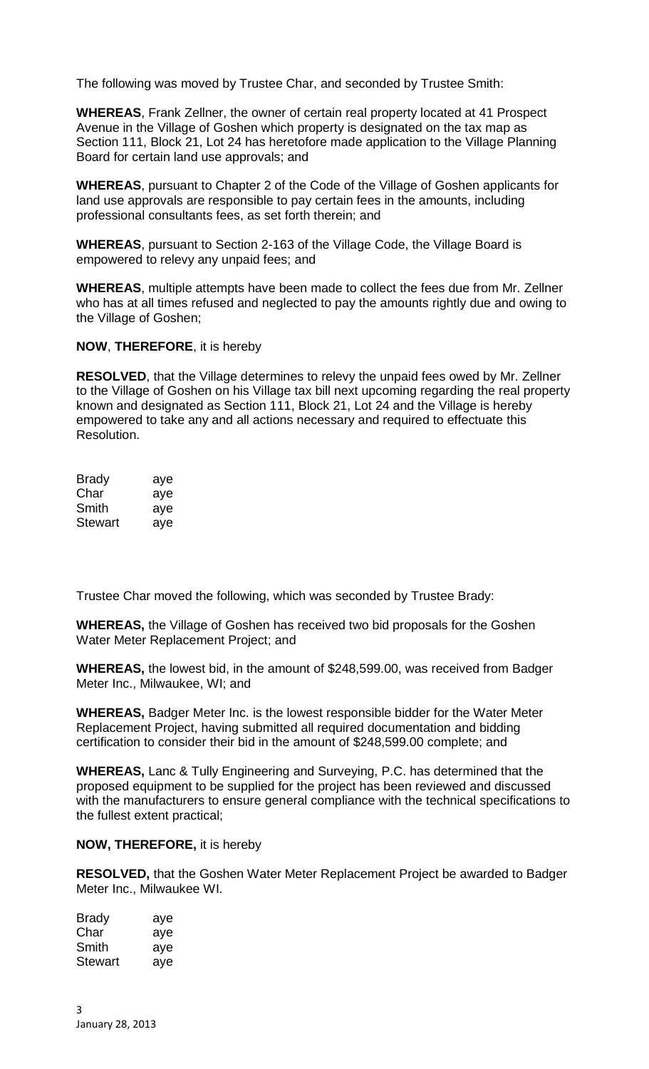The following was moved by Trustee Char, and seconded by Trustee Smith:

**WHEREAS**, Frank Zellner, the owner of certain real property located at 41 Prospect Avenue in the Village of Goshen which property is designated on the tax map as Section 111, Block 21, Lot 24 has heretofore made application to the Village Planning Board for certain land use approvals; and

**WHEREAS**, pursuant to Chapter 2 of the Code of the Village of Goshen applicants for land use approvals are responsible to pay certain fees in the amounts, including professional consultants fees, as set forth therein; and

**WHEREAS**, pursuant to Section 2-163 of the Village Code, the Village Board is empowered to relevy any unpaid fees; and

**WHEREAS**, multiple attempts have been made to collect the fees due from Mr. Zellner who has at all times refused and neglected to pay the amounts rightly due and owing to the Village of Goshen;

**NOW**, **THEREFORE**, it is hereby

**RESOLVED**, that the Village determines to relevy the unpaid fees owed by Mr. Zellner to the Village of Goshen on his Village tax bill next upcoming regarding the real property known and designated as Section 111, Block 21, Lot 24 and the Village is hereby empowered to take any and all actions necessary and required to effectuate this Resolution.

| Brady   | aye |
|---------|-----|
| Char    | aye |
| Smith   | aye |
| Stewart | ave |

Trustee Char moved the following, which was seconded by Trustee Brady:

**WHEREAS,** the Village of Goshen has received two bid proposals for the Goshen Water Meter Replacement Project; and

**WHEREAS,** the lowest bid, in the amount of \$248,599.00, was received from Badger Meter Inc., Milwaukee, WI; and

**WHEREAS,** Badger Meter Inc. is the lowest responsible bidder for the Water Meter Replacement Project, having submitted all required documentation and bidding certification to consider their bid in the amount of \$248,599.00 complete; and

**WHEREAS,** Lanc & Tully Engineering and Surveying, P.C. has determined that the proposed equipment to be supplied for the project has been reviewed and discussed with the manufacturers to ensure general compliance with the technical specifications to the fullest extent practical;

## **NOW, THEREFORE,** it is hereby

**RESOLVED,** that the Goshen Water Meter Replacement Project be awarded to Badger Meter Inc., Milwaukee WI.

| <b>Brady</b>   | aye |
|----------------|-----|
| Char           | aye |
| Smith          | aye |
| <b>Stewart</b> | aye |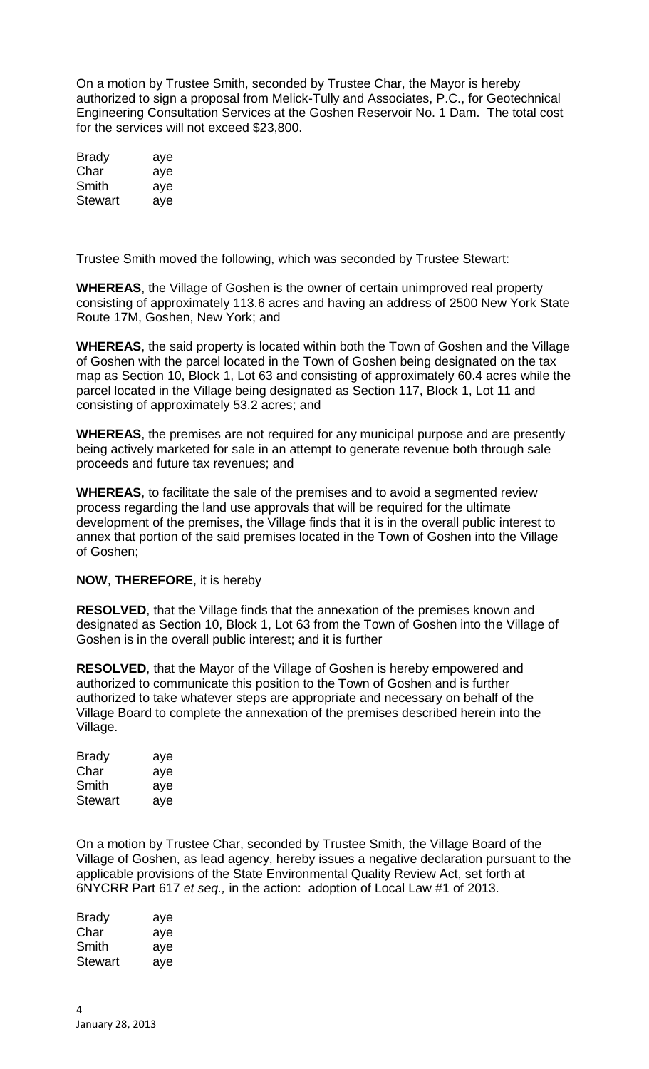On a motion by Trustee Smith, seconded by Trustee Char, the Mayor is hereby authorized to sign a proposal from Melick-Tully and Associates, P.C., for Geotechnical Engineering Consultation Services at the Goshen Reservoir No. 1 Dam. The total cost for the services will not exceed \$23,800.

| Brady   | aye |
|---------|-----|
| Char    | aye |
| Smith   | aye |
| Stewart | aye |

Trustee Smith moved the following, which was seconded by Trustee Stewart:

**WHEREAS**, the Village of Goshen is the owner of certain unimproved real property consisting of approximately 113.6 acres and having an address of 2500 New York State Route 17M, Goshen, New York; and

**WHEREAS**, the said property is located within both the Town of Goshen and the Village of Goshen with the parcel located in the Town of Goshen being designated on the tax map as Section 10, Block 1, Lot 63 and consisting of approximately 60.4 acres while the parcel located in the Village being designated as Section 117, Block 1, Lot 11 and consisting of approximately 53.2 acres; and

**WHEREAS**, the premises are not required for any municipal purpose and are presently being actively marketed for sale in an attempt to generate revenue both through sale proceeds and future tax revenues; and

**WHEREAS**, to facilitate the sale of the premises and to avoid a segmented review process regarding the land use approvals that will be required for the ultimate development of the premises, the Village finds that it is in the overall public interest to annex that portion of the said premises located in the Town of Goshen into the Village of Goshen;

## **NOW**, **THEREFORE**, it is hereby

**RESOLVED**, that the Village finds that the annexation of the premises known and designated as Section 10, Block 1, Lot 63 from the Town of Goshen into the Village of Goshen is in the overall public interest; and it is further

**RESOLVED**, that the Mayor of the Village of Goshen is hereby empowered and authorized to communicate this position to the Town of Goshen and is further authorized to take whatever steps are appropriate and necessary on behalf of the Village Board to complete the annexation of the premises described herein into the Village.

| <b>Brady</b>   | aye |
|----------------|-----|
| Char           | aye |
| Smith          | aye |
| <b>Stewart</b> | aye |

On a motion by Trustee Char, seconded by Trustee Smith, the Village Board of the Village of Goshen, as lead agency, hereby issues a negative declaration pursuant to the applicable provisions of the State Environmental Quality Review Act, set forth at 6NYCRR Part 617 *et seq.,* in the action: adoption of Local Law #1 of 2013.

Brady aye Char aye Smith aye Stewart aye